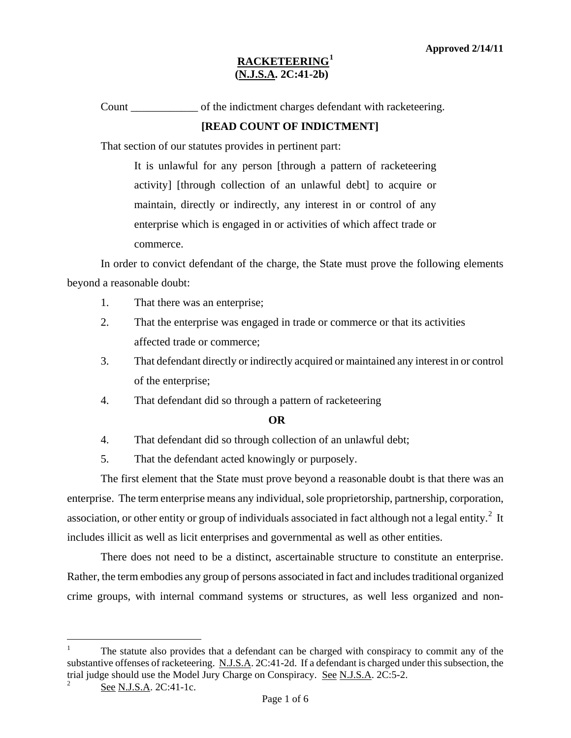# **RACKETEERING[1](#page-0-0) (N.J.S.A. 2C:41-2b)**

Count \_\_\_\_\_\_\_\_\_\_\_\_ of the indictment charges defendant with racketeering.

## **[READ COUNT OF INDICTMENT]**

That section of our statutes provides in pertinent part:

It is unlawful for any person [through a pattern of racketeering activity] [through collection of an unlawful debt] to acquire or maintain, directly or indirectly, any interest in or control of any enterprise which is engaged in or activities of which affect trade or commerce.

In order to convict defendant of the charge, the State must prove the following elements beyond a reasonable doubt:

- 1. That there was an enterprise;
- 2. That the enterprise was engaged in trade or commerce or that its activities affected trade or commerce;
- 3. That defendant directly or indirectly acquired or maintained any interest in or control of the enterprise;
- 4. That defendant did so through a pattern of racketeering

### **OR**

4. That defendant did so through collection of an unlawful debt;

5. That the defendant acted knowingly or purposely.

The first element that the State must prove beyond a reasonable doubt is that there was an enterprise. The term enterprise means any individual, sole proprietorship, partnership, corporation, association, or other entity or group of individuals associated in fact although not a legal entity.<sup>[2](#page-0-1)</sup> It includes illicit as well as licit enterprises and governmental as well as other entities.

There does not need to be a distinct, ascertainable structure to constitute an enterprise. Rather, the term embodies any group of persons associated in fact and includes traditional organized crime groups, with internal command systems or structures, as well less organized and non-

<span id="page-0-2"></span>i<br>Li

<span id="page-0-0"></span><sup>1</sup> The statute also provides that a defendant can be charged with conspiracy to commit any of the substantive offenses of racketeering. N.J.S.A. 2C:41-2d. If a defendant is charged under this subsection, the trial judge should use the Model Jury Charge on Conspiracy. See N.J.S.A. 2C:5-2. 2

<span id="page-0-1"></span>See N.J.S.A. 2C:41-1c.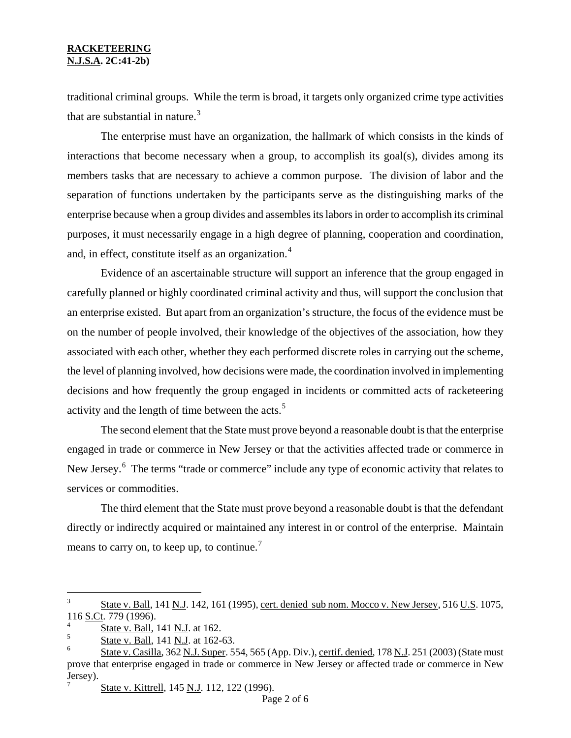#### **RACKETEERING N.J.S.A. 2C:41-2b)**

traditional criminal groups. While the term is broad, it targets only organized crime type activities that are substantial in nature.<sup>[3](#page-0-2)</sup>

The enterprise must have an organization, the hallmark of which consists in the kinds of interactions that become necessary when a group, to accomplish its goal(s), divides among its members tasks that are necessary to achieve a common purpose. The division of labor and the separation of functions undertaken by the participants serve as the distinguishing marks of the enterprise because when a group divides and assembles its labors in order to accomplish its criminal purposes, it must necessarily engage in a high degree of planning, cooperation and coordination, and, in effect, constitute itself as an organization.<sup>[4](#page-1-0)</sup>

Evidence of an ascertainable structure will support an inference that the group engaged in carefully planned or highly coordinated criminal activity and thus, will support the conclusion that an enterprise existed. But apart from an organization's structure, the focus of the evidence must be on the number of people involved, their knowledge of the objectives of the association, how they associated with each other, whether they each performed discrete roles in carrying out the scheme, the level of planning involved, how decisions were made, the coordination involved in implementing decisions and how frequently the group engaged in incidents or committed acts of racketeering activity and the length of time between the acts. $5$ 

The second element that the State must prove beyond a reasonable doubt is that the enterprise engaged in trade or commerce in New Jersey or that the activities affected trade or commerce in New Jersey.<sup>[6](#page-1-2)</sup> The terms "trade or commerce" include any type of economic activity that relates to services or commodities.

The third element that the State must prove beyond a reasonable doubt is that the defendant directly or indirectly acquired or maintained any interest in or control of the enterprise. Maintain means to carry on, to keep up, to continue.<sup>[7](#page-1-3)</sup>

i<br>Li

<span id="page-1-4"></span> $3 \text{ State v. Ball}, 141 \text{ N. J}.$  142, 161 (1995), cert. denied sub nom. Mocco v. New Jersey, 516 U.S. 1075, 116 S.Ct. 779 (1996).

<span id="page-1-0"></span> $\frac{4}{5}$  State v. Ball, 141 N.J. at 162.

<span id="page-1-1"></span>State v. Ball, 141 N.J. at 162-63.

<span id="page-1-3"></span><span id="page-1-2"></span><sup>6</sup> State v. Casilla, 362 N.J. Super. 554, 565 (App. Div.), certif. denied, 178 N.J. 251 (2003) (State must prove that enterprise engaged in trade or commerce in New Jersey or affected trade or commerce in New Jersey).

State v. Kittrell, 145 N.J. 112, 122 (1996).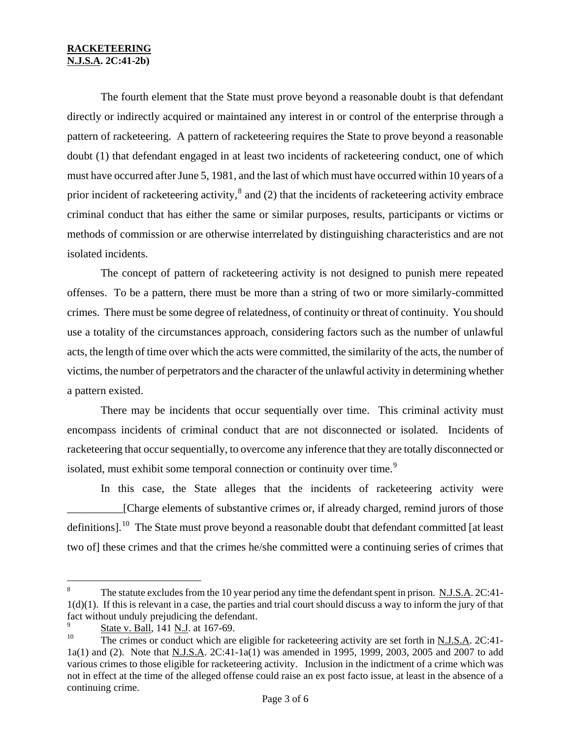### **RACKETEERING N.J.S.A. 2C:41-2b)**

The fourth element that the State must prove beyond a reasonable doubt is that defendant directly or indirectly acquired or maintained any interest in or control of the enterprise through a pattern of racketeering. A pattern of racketeering requires the State to prove beyond a reasonable doubt (1) that defendant engaged in at least two incidents of racketeering conduct, one of which must have occurred after June 5, 1981, and the last of which must have occurred within 10 years of a prior incident of racketeering activity, $^8$  $^8$  and (2) that the incidents of racketeering activity embrace criminal conduct that has either the same or similar purposes, results, participants or victims or methods of commission or are otherwise interrelated by distinguishing characteristics and are not isolated incidents.

The concept of pattern of racketeering activity is not designed to punish mere repeated offenses. To be a pattern, there must be more than a string of two or more similarly-committed crimes. There must be some degree of relatedness, of continuity or threat of continuity. You should use a totality of the circumstances approach, considering factors such as the number of unlawful acts, the length of time over which the acts were committed, the similarity of the acts, the number of victims, the number of perpetrators and the character of the unlawful activity in determining whether a pattern existed.

There may be incidents that occur sequentially over time. This criminal activity must encompass incidents of criminal conduct that are not disconnected or isolated. Incidents of racketeering that occur sequentially, to overcome any inference that they are totally disconnected or isolated, must exhibit some temporal connection or continuity over time.<sup>[9](#page-2-0)</sup>

In this case, the State alleges that the incidents of racketeering activity were [Charge elements of substantive crimes or, if already charged, remind jurors of those definitions].<sup>[10](#page-2-1)</sup> The State must prove beyond a reasonable doubt that defendant committed [at least two of] these crimes and that the crimes he/she committed were a continuing series of crimes that

 $\,8\,$ The statute excludes from the 10 year period any time the defendant spent in prison. N.J.S.A. 2C:41-1(d)(1). If this is relevant in a case, the parties and trial court should discuss a way to inform the jury of that fact without unduly prejudicing the defendant.

<span id="page-2-0"></span> $\frac{9}{10}$  State v. Ball, 141 N.J. at 167-69.

<span id="page-2-2"></span><span id="page-2-1"></span>The crimes or conduct which are eligible for racketeering activity are set forth in N.J.S.A. 2C:41-1a(1) and (2). Note that N.J.S.A. 2C:41-1a(1) was amended in 1995, 1999, 2003, 2005 and 2007 to add various crimes to those eligible for racketeering activity. Inclusion in the indictment of a crime which was not in effect at the time of the alleged offense could raise an ex post facto issue, at least in the absence of a continuing crime.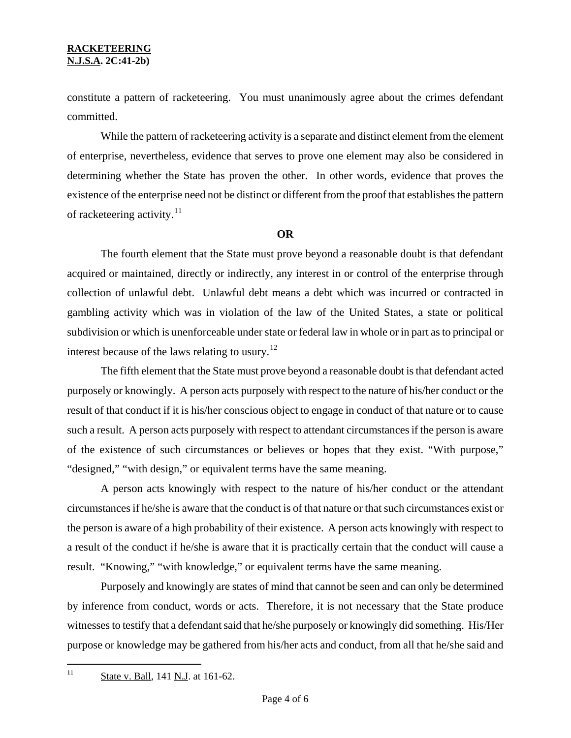constitute a pattern of racketeering. You must unanimously agree about the crimes defendant committed.

While the pattern of racketeering activity is a separate and distinct element from the element of enterprise, nevertheless, evidence that serves to prove one element may also be considered in determining whether the State has proven the other. In other words, evidence that proves the existence of the enterprise need not be distinct or different from the proof that establishes the pattern of racketeering activity.<sup>[11](#page-2-2)</sup>

### **OR**

The fourth element that the State must prove beyond a reasonable doubt is that defendant acquired or maintained, directly or indirectly, any interest in or control of the enterprise through collection of unlawful debt. Unlawful debt means a debt which was incurred or contracted in gambling activity which was in violation of the law of the United States, a state or political subdivision or which is unenforceable under state or federal law in whole or in part as to principal or interest because of the laws relating to usury.<sup>[12](#page-3-0)</sup>

The fifth element that the State must prove beyond a reasonable doubt is that defendant acted purposely or knowingly. A person acts purposely with respect to the nature of his/her conduct or the result of that conduct if it is his/her conscious object to engage in conduct of that nature or to cause such a result. A person acts purposely with respect to attendant circumstances if the person is aware of the existence of such circumstances or believes or hopes that they exist. "With purpose," "designed," "with design," or equivalent terms have the same meaning.

A person acts knowingly with respect to the nature of his/her conduct or the attendant circumstances if he/she is aware that the conduct is of that nature or that such circumstances exist or the person is aware of a high probability of their existence. A person acts knowingly with respect to a result of the conduct if he/she is aware that it is practically certain that the conduct will cause a result. "Knowing," "with knowledge," or equivalent terms have the same meaning.

<span id="page-3-1"></span><span id="page-3-0"></span>Purposely and knowingly are states of mind that cannot be seen and can only be determined by inference from conduct, words or acts. Therefore, it is not necessary that the State produce witnesses to testify that a defendant said that he/she purposely or knowingly did something. His/Her purpose or knowledge may be gathered from his/her acts and conduct, from all that he/she said and

 $11$ State v. Ball, 141 N.J. at 161-62.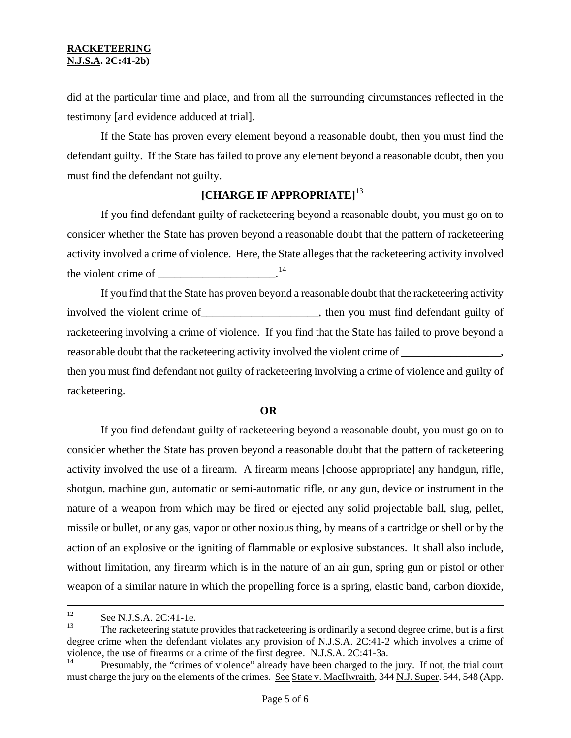did at the particular time and place, and from all the surrounding circumstances reflected in the testimony [and evidence adduced at trial].

If the State has proven every element beyond a reasonable doubt, then you must find the defendant guilty. If the State has failed to prove any element beyond a reasonable doubt, then you must find the defendant not guilty.

# **[CHARGE IF APPROPRIATE]**[13](#page-3-1)

If you find defendant guilty of racketeering beyond a reasonable doubt, you must go on to consider whether the State has proven beyond a reasonable doubt that the pattern of racketeering activity involved a crime of violence. Here, the State alleges that the racketeering activity involved the violent crime of  $\frac{1}{2}$ 

If you find that the State has proven beyond a reasonable doubt that the racketeering activity involved the violent crime of health contains the you must find defendant guilty of racketeering involving a crime of violence. If you find that the State has failed to prove beyond a reasonable doubt that the racketeering activity involved the violent crime of \_\_\_\_\_\_\_\_\_\_\_\_\_\_\_, then you must find defendant not guilty of racketeering involving a crime of violence and guilty of racketeering.

#### **OR**

If you find defendant guilty of racketeering beyond a reasonable doubt, you must go on to consider whether the State has proven beyond a reasonable doubt that the pattern of racketeering activity involved the use of a firearm. A firearm means [choose appropriate] any handgun, rifle, shotgun, machine gun, automatic or semi-automatic rifle, or any gun, device or instrument in the nature of a weapon from which may be fired or ejected any solid projectable ball, slug, pellet, missile or bullet, or any gas, vapor or other noxious thing, by means of a cartridge or shell or by the action of an explosive or the igniting of flammable or explosive substances. It shall also include, without limitation, any firearm which is in the nature of an air gun, spring gun or pistol or other weapon of a similar nature in which the propelling force is a spring, elastic band, carbon dioxide,

 $12$  $\frac{12}{13}$  See N.J.S.A. 2C:41-1e.

<sup>13</sup> The racketeering statute provides that racketeering is ordinarily a second degree crime, but is a first degree crime when the defendant violates any provision of N.J.S.A. 2C:41-2 which involves a crime of violence, the use of firearms or a crime of the first degree.  $\underline{N.J.S.A}$ . 2C:41-3a.

<span id="page-4-0"></span>Presumably, the "crimes of violence" already have been charged to the jury. If not, the trial court must charge the jury on the elements of the crimes. See State v. MacIlwraith, 344 N.J. Super. 544, 548 (App.